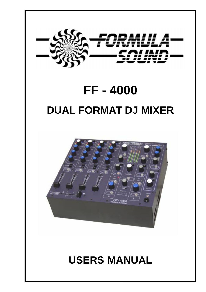

# **FF - 4000 DUAL FORMAT DJ MIXER**



## **USERS MANUAL**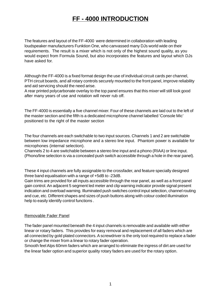## **FF - 4000 INTRODUCTION**

The features and layout of the FF-4000 were determined in collaboration with leading loudspeaker manufacturers Funktion One, who canvassed many DJs world wide on their requirements. The result is a mixer which is not only of the highest sound quality, as you would expect from Formula Sound, but also incorporates the features and layout which DJs have asked for.

Although the FF-4000 is a fixed format design the use of individual circuit cards per channel, PTH circuit boards, and all rotary controls securely mounted to the front panel, improve reliability and aid servicing should the need arise.

A rear printed polycarbonate overlay to the top panel ensures that this mixer will still look good after many years of use and notation will never rub off.

The FF-4000 is essentially a five channel mixer. Four of these channels are laid out to the left of the master section and the fifth is a dedicated microphone channel labelled 'Console Mic' positioned to the right of the master section

The four channels are each switchable to two input sources. Channels 1 and 2 are switchable between low impedance microphone and a stereo line input. Phantom power is available for microphones (internal selection).

Channels 2 to 4 are switchable between a stereo line input and a phono (RIAA) or line input. (Phono/line selection is via a concealed push switch accessible through a hole in the rear panel).

These 4 input channels are fully assignable to the crossfader, and feature specially designed three band equalisation with a range of +5dB to -23dB.

Gain trims are provided for all inputs accessible through the rear panel, as well as a front panel gain control. An adjacent 5 segment led meter and clip warning indicator provide signal present indication and overload warning. Illuminated push switches control input selection, channel routing and cue, etc. Different shapes and sizes of push buttons along with colour coded illumination help to easily identify control functions .

### Removable Fader Panel

The fader panel mounted beneath the 4 input channels is removable and available with either linear or rotary faders. This provides for easy removal and replacement of all faders which are all connected by gold plated connectors. A screwdriver is the only tool required to replace a fader or change the mixer from a linear to rotary fader operation.

Smooth feel Alps 60mm faders which are arranged to eliminate the ingress of dirt are used for the linear fader option and superior quality rotary faders are used for the rotary option.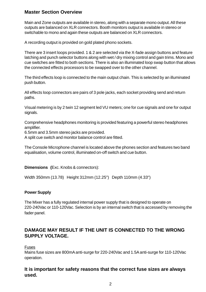## **Master Section Overview**

Main and Zone outputs are available in stereo, along with a separate mono output. All these outputs are balanced on XLR connectors. Booth monitors output is available in stereo or switchable to mono and again these outputs are balanced on XLR connectors.

A recording output is provided on gold plated phono sockets.

There are 3 insert loops provided. 1 & 2 are selected via the X-fade assign buttons and feature latching and punch selector buttons along with wet / dry mixing control and gain trims. Mono and cue switches are fitted to both sections. There is also an illuminated loop swap button that allows the connected effects processors to be swapped over to the other channel.

The third effects loop is connected to the main output chain. This is selected by an illuminated push button.

All effects loop connectors are pairs of 3 pole jacks, each socket providing send and return paths.

Visual metering is by 2 twin 12 segment led VU meters; one for cue signals and one for output signals.

Comprehensive headphones monitoring is provided featuring a powerful stereo headphones amplifier.

6.5mm and 3.5mm stereo jacks are provided.

A split cue switch and monitor balance control are fitted.

The Console Microphone channel is located above the phones section and features two band equalisation, volume control, illuminated on-off switch and cue button.

**Dimensions (**Exc. Knobs & connectors):

Width 350mm (13.78) Height 312mm (12.25") Depth 110mm (4.33")

## **Power Supply**

The Mixer has a fully regulated internal power supply that is designed to operate on 220-240Vac or 110-120Vac. Selection is by an internal switch that is accessed by removing the fader panel.

## **DAMAGE MAY RESULT IF THE UNIT IS CONNECTED TO THE WRONG SUPPLY VOLTAGE.**

### Fuses

Mains fuse sizes are 800mA anti-surge for 220-240Vac and 1.5A anti-surge for 110-120Vac operation.

## **It is important for safety reasons that the correct fuse sizes are always used.**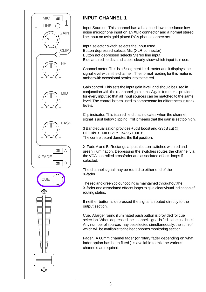

## **INPUT CHANNEL 1**

Input Sources. This channel has a balanced low impedance low noise microphone input on an XLR connector and a normal stereo line input on twin gold plated RCA phono connectors.

Input selector switch selects the input used. Button depressed selects Mic (XLR connector) Button not depressed selects Stereo line input. Blue and red l.e.d.s. and labels clearly show which input is in use.

Channel meter. This is a 5 segment l.e.d. meter and it displays the signal level within the channel. The normal reading for this meter is amber with occasional peaks into to the red.

Gain control. This sets the input gain level, and should be used in conjunction with the rear panel gain trims. A gain trimmer is provided for every input so that all input sources can be matched to the same level. The control is then used to compensate for differences in track levels.

Clip indicator. This is a red l.e.d that indicates when the channel signal is just below clipping. If lit it means that the gain is set too high.

3 Band equalisation provides +5dB boost and -23dB cut @ HF 10kHz MID 1kHz BASS 100Hz. The centre detent denotes the flat position.

X-Fade A and B. Rectangular push button switches with red and green illumination. Depressing the switches routes the channel via the VCA controlled crossfader and associated effects loops if selected.

The channel signal may be routed to either end of the X-fader.

The red and green colour coding is maintained throughout the X-fader and associated effects loops to give clear visual indication of routing status.

If neither button is depressed the signal is routed directly to the output section.

Cue. A larger round illuminated push button is provided for cue selection. When depressed the channel signal is fed to the cue buss. Any number of sources may be selected simultaneously, the sum of which will be available to the headphones monitoring section.

Fader. A 60mm channel fader (or rotary fader depending on what fader option has been fitted ) is available to mix the various channels as required.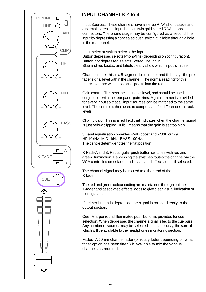

## **INPUT CHANNELS 2 to 4**

Input Sources. These channels have a stereo RIAA phono stage and a normal stereo line input both on twin gold plated RCA phono connectors. The phono stage may be configured as a second line input by depressing a concealed push switch available through a hole in the rear panel.

Input selector switch selects the input used. Button depressed selects Phono/line (depending on configuration). Button not depressed selects Stereo line input. Blue and red l.e.d.s. and labels clearly show which input is in use.

Channel meter this is a 5 segment l.e.d. meter and it displays the prefader signal level within the channel. The normal reading for this meter is amber with occasional peaks into the red.

Gain control. This sets the input gain level, and should be used in conjunction with the rear panel gain trims. A gain trimmer is provided for every input so that all input sources can be matched to the same level. The control is then used to compensate for differences in track levels.

Clip indicator. This is a red l.e.d that indicates when the channel signal is just below clipping. If lit it means that the gain is set too high.

3 Band equalisation provides +5dB boost and -23dB cut @ HF 10kHz MID 1kHz BASS 100Hz. The centre detent denotes the flat position.

X-Fade A and B. Rectangular push button switches with red and green illumination. Depressing the switches routes the channel via the VCA controlled crossfader and associated effects loops if selected.

The channel signal may be routed to either end of the X-fader.

The red and green colour coding are maintained through out the X-fader and associated effects loops to give clear visual indication of routing status.

If neither button is depressed the signal is routed directly to the output section.

Cue. A larger round illuminated push button is provided for cue selection. When depressed the channel signal is fed to the cue buss. Any number of sources may be selected simultaneously, the sum of which will be available to the headphones monitoring section.

Fader. A 60mm channel fader (or rotary fader depending on what fader option has been fitted ) is available to mix the various channels as required.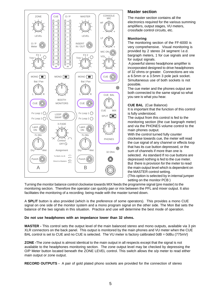

## **Master section**

The master section contains all the electronics required for the various summing amplifiers, output stages, VU meters, crossfade control circuits, etc.

## **Monitoring**

The monitoring section of the FF-6000 is very comprehensive. Visual monitoring is provided by 2 stereo 24 segment l.e.d. bargraph meters, 1 for cue signals and one for output signals.

 A powerful stereo headphone amplifier is incorporated designed to drive headphones of 32 ohms or greater. Connections are via a 6.5mm or a 3.5mm 3 pole jack socket. Simultaneous use of both sockets is not possible.

The cue meter and the phones output are both connected to the same signal so what you see is what you hear.

**CUE BAL** (Cue Balance)

It is important that the function of this control is fully understood.

The output from this control is fed to the monitoring section (the cue bargraph meter) and via the PHONES volume control to the main phones output.

With the control turned fully counter clockwise towards cue, the meter will read the cue signal of any channel or effects loop that has its cue button depressed, or the sum of channels if more than one is selected. As standard If no cue buttons are depressed nothing is fed to the cue meter. But there is provision for the meter to read the main output level which is dependent on the MASTER control setting. (This option is selected by in internal jumper setting on the monitor PCB )

Turning the monitor balance control clockwise towards MIX feeds the programme signal (pre master) to the monitoring section. Therefore the operator can quickly pan or mix between the PFL and mixer output. It also facilitates the monitoring of a recording being made with the master turned down.

A **SPLIT** button is also provided (which is the preference of some operators). This provides a mono CUE signal on one side of the monitor system and a mono program signal on the other side. The Mon Bal sets the balance of the two signals in this situation. Practice and use will determine the best mode of operation.

### **Do not use headphones with an impedance lower than 32 ohms.**

**MASTER -** This control sets the output level of the main balanced stereo and mono outputs, available via 3 pin XLR connectors on the back panel. This output is monitored by the main phones and VU meter when the CUE BAL control is set to CUE and no CUE is selected. The VU meter is factory calibrated  $0dB = 0dBu$  (775mV)

**ZONE -**The zone output is almost identical to the main output in all respects except that the signal is not available to the headphones monitoring section. The zone output level may be checked by depressing the O/P Meter button located beneath the ZONE LEVEL control. This switch allows the o/p meter to read either main output or zone output.

**RECORD OUTPUTS -** A pair of gold plated phono sockets are provided for the connection of stereo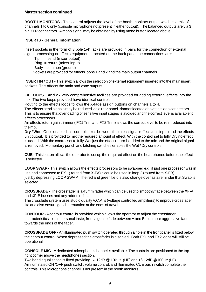### **Master section continued**

**BOOTH MONITORS -** This control adjusts the level of the booth monitors output which is a mix of channels 1 to 6 only (console microphone not present in either output). The balanced outputs are via 3 pin XLR connectors. A mono signal may be obtained by using mono button located above.

## **INSERTS - General information**

Insert sockets in the form of 3 pole 1/4" jacks are provided in pairs for the connection of external signal processing or effects equipment. Located on the back panel the connections are:-

 $Tip = send (mixer output)$  $Ring = return (mixer input)$ Body = common (ground) Sockets are provided for effects loops 1 and 2 and the main output channels

**INSERT IN / OUT -** This switch allows the selection of external equipment inserted into the main insert sockets. This affects the main and zone outputs.

**FX LOOPS 1 and 2 -** Very comprehensive facilities are provided for adding external effects into the mix. The two loops provided have identical controls.

Routing to the effects loops follows the X-fade assign buttons on channels 1 to 4.

The effects send signals may be reduced via a rear panel trimmer located above the loop connectors. This is to ensure that overloading of sensitive input stages is avoided and the correct level is available to effects processors.

An effects return gain trimmer ( FX1 Trim and FX2 Trim) allows the correct level to be reintroduced into the mix.

**Dry / Wet -** Once enabled this control mixes between the direct signal (effects unit input) and the effects unit output. It is provided to mix the required amount of effect. With the control set to fully Dry no effect is added. With the control set to fully Wet just the effect return is added to the mix and the original signal is removed. Momentary punch and latching switches enables the Wet / Dry controls.

**CUE -** This button allows the operator to set up the required effect on the headphones before the effect is selected.

**LOOP SWAP -** This switch allows the effects processors to be swapped e.g. if just one processor was in use and connected to FX1 ( routed from X-FA) it could be used in loop 2 (routed from X-FB) just by depressing LOOP SWAP. The red and green l.e.d.s also change over as a reminder that Swap is selected.

**CROSSFADE -** The crossfader is a 45mm fader which can be used to smoothly fade between the XF-A and XF-B busses and any added effects.

The crossfade system uses studio quality V.C.A.'s (voltage controlled amplifiers) to improve crossfader life and also ensure good attenuation at the ends of travel.

**CONTOUR** - A contour control is provided which allows the operator to adjust the crossfader characteristics to suit personal taste, from a gentle fade between A and B to a more aggressive fade towards the ends of the fader.

**CROSSFADE OFF -** An illuminated push switch operated through a hole in the front panel is fitted below the contour control. When depressed the crossfader is disabled. Both FX1 and FX2 loops will still be operational.

**CONSOLE MIC -** A dedicated microphone channel is available. The controls are positioned to the top right corner above the headphones section.

Two band equalisation is fitted providing +/- 12dB @ 10kHz (HF) and +/- 12dB @100Hz (LF) An illuminated ON /OFF push switch, volume control, and illuminated CUE push switch complete the controls. This Microphone channel is not present in the booth monitors.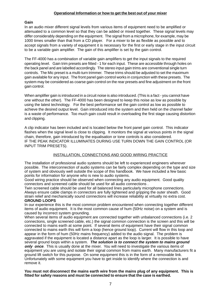#### **Operational Information or how to get the best out of your mixer**

#### **Gain**

In an audio mixer different signal levels from various items of equipment need to be amplified or attenuated to a common level so that they can be added or mixed together. These signal levels may differ considerably depending on the equipment. The signal from a microphone, for example, may be 1000 times smaller than that from a CD player. For a mixer to be as flexible as possible and to accept signals from a variety of equipment it is necessary for the first or early stage in the input circuit to be a variable gain amplifier. The gain of this amplifier is set by the gain control.

The FF-4000 has a combination of variable gain amplifiers to get the input signals to the required operating level. Gain trim presets are fitted - 1 for each input. These are accessible through holes on the back panel and are labelled accordingly. The stereo input gain trims are conventional single turn controls. The Mic preset is a multi-turn trimmer. These trims should be adjusted to set the maximum gain available for any input. The front panel gain control works in conjunction with these presets. The system may be considered as coarse gain control on the rear presets and fine adjustment on the front gain control.

When amplifier gain is introduced in a circuit noise is also introduced. (This is a fact - you cannot have one without the other). The FF-4000 has been designed to keep this noise as low as possible by using the latest technology. For the best performance set the gain control as low as possible to achieve the desired output level. Gain introduced into the system and then held on the channel fader is a waste of performance. Too much gain could result in overloading the first stage causing distortion and clipping.

A clip indicator has been included and is located below the front panel gain control. This indicator flashes when the signal level is close to clipping. It monitors the signal at various points in the signal chain, therefore, gain introduced by the equalisation or tone controls is also considered. IF THE PEAK INDICATOR ILLUMINATES DURING USE TURN DOWN THE GAIN CONTROL (OR INPUT TRIM PRESETS).

#### INSTALLATION, CONNECTIONS AND GOOD WIRING PRACTICE

The installation of professional audio systems should be left to experienced engineers wherever possible. The interconnection of audio systems can be fairly complex depending on the type and size of system and obviously well outside the scope of this handbook. We have included a few basic points for information for anyone who is new to audio systems.

Good wiring practice should be observed when connecting any audio equipment. Good quality connectors and screened cable should be used for all audio connections .

Twin screened cable should be used for all balanced lines particularly microphone connections. Always ensure cable clamps in connectors are fully tightened and gripping the outer sheath. Good strain relief and mechanically sound connections will increase reliability at virtually no extra cost. **GROUND LOOPS**

In our experience this is the most common problem encountered when connecting together different items of audio equipment. It is the most common cause of hum (50Hz noise) on a system and is caused by incorrect system grounding.

When several items of audio equipment are connected together with unbalanced connections (i.e. 2 connections, single screened cable, etc.) the signal common connection is the screen and this will be connected to mains earth at some point. If several items of equipment have their signal common connected to mains earth this will form a loop (hence ground loop). Current will flow in this loop and appear in the form of hum (50Hz mains frequency) added to the audio signal. The problem is aggravated if the equipment is located a distance apart as the loop is larger. It is possible to have several ground loops within a system. **The solution is to connect the system to mains ground only once**. This is usually done at the mixer. You will need to investigate the various items of equipment you are using and isolate their signal common from mains earth. Many manufacturers fit a ground lift switch for this purpose. On some equipment this is in the form of a removable link. Unfortunately with some equipment you have to get inside to identify where the connection is and remove it.

**You must not disconnect the mains earth wire from the mains plug of any equipment. This is fitted for safety reasons and must be connected to ensure that the case is earthed.**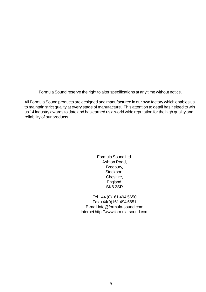Formula Sound reserve the right to alter specifications at any time without notice.

All Formula Sound products are designed and manufactured in our own factory which enables us to maintain strict quality at every stage of manufacture. This attention to detail has helped to win us 14 industry awards to date and has earned us a world wide reputation for the high quality and reliability of our products.

> Formula Sound Ltd. Ashton Road, Bredbury, Stockport, Cheshire, England. SK6 2SR

Tel +44 (0)161 494 5650 Fax +44(0)161 494 5651 E-mail info@formula-sound.com Internet http://www.formula-sound.com